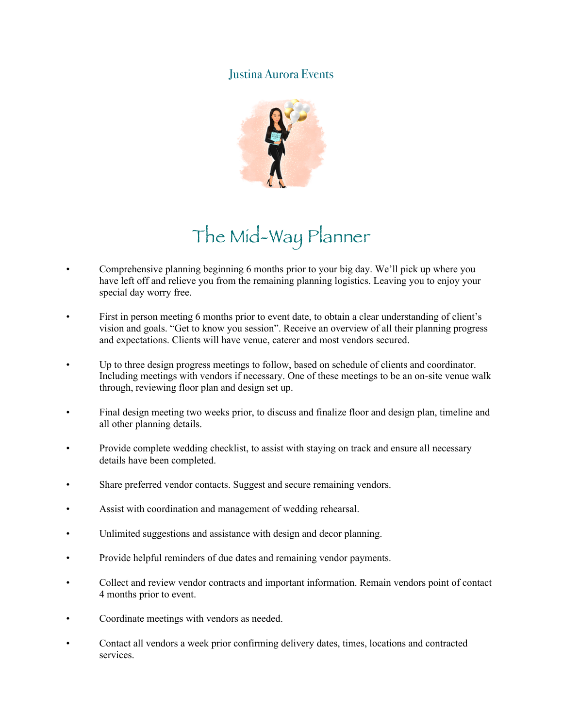## Justina Aurora Events



## The Mid-Way Planner

- Comprehensive planning beginning 6 months prior to your big day. We'll pick up where you have left off and relieve you from the remaining planning logistics. Leaving you to enjoy your special day worry free.
- First in person meeting 6 months prior to event date, to obtain a clear understanding of client's vision and goals. "Get to know you session". Receive an overview of all their planning progress and expectations. Clients will have venue, caterer and most vendors secured.
- Up to three design progress meetings to follow, based on schedule of clients and coordinator. Including meetings with vendors if necessary. One of these meetings to be an on-site venue walk through, reviewing floor plan and design set up.
- Final design meeting two weeks prior, to discuss and finalize floor and design plan, timeline and all other planning details.
- Provide complete wedding checklist, to assist with staying on track and ensure all necessary details have been completed.
- Share preferred vendor contacts. Suggest and secure remaining vendors.
- Assist with coordination and management of wedding rehearsal.
- Unlimited suggestions and assistance with design and decor planning.
- Provide helpful reminders of due dates and remaining vendor payments.
- Collect and review vendor contracts and important information. Remain vendors point of contact 4 months prior to event.
- Coordinate meetings with vendors as needed.
- Contact all vendors a week prior confirming delivery dates, times, locations and contracted services.